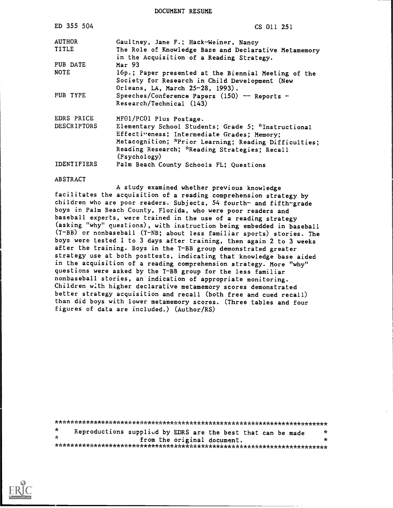DOCUMENT RESUME

| ED 355 504         | CS 011 251                                                                                                                                                                                                                   |
|--------------------|------------------------------------------------------------------------------------------------------------------------------------------------------------------------------------------------------------------------------|
| <b>AUTHOR</b>      | Gaultney, Jane F.; Hack-Weiner, Nancy                                                                                                                                                                                        |
| TITLE              | The Role of Knowledge Base and Declarative Metamemory                                                                                                                                                                        |
| PUB DATE           | in the Acquisition of a Reading Strategy.<br>Mar <sub>93</sub>                                                                                                                                                               |
| <b>NOTE</b>        | 16p.; Paper presented at the Biennial Meeting of the<br>Society for Research in Child Development (New<br>Orleans, LA, March 25-28, 1993).                                                                                   |
| PUB TYPE           | Speeches/Conference Papers (150) -- Reports -<br>Research/Technical (143)                                                                                                                                                    |
| EDRS PRICE         | MF01/PC01 Plus Postage.                                                                                                                                                                                                      |
| <b>DESCRIPTORS</b> | Elementary School Students; Grade 5; *Instructional<br>Effectiveness; Intermediate Grades; Memory;<br>Metacognition; *Prior Learning; Reading Difficulties;<br>Reading Research; *Reading Strategies; Recall<br>(Psychology) |
| <b>IDENTIFIERS</b> | Palm Beach County Schools FL; Questions                                                                                                                                                                                      |
| <b>ABSTRACT</b>    |                                                                                                                                                                                                                              |

A study examined whether previous knowledge facilitates the acquisition of a reading comprehension strategy by children who are poor readers. Subjects, 54 fourth- and fifth-grade boys in Palm Beach County, Florida, who were poor readers and baseball experts, were trained in the use of a reading strategy (asking "why" questions), with instruction being embedded in baseball (T-BB) or nonbaseball (T-NB; about less familiar sports) stories. The boys were tested 1 to 3 days after training, then again 2 to 3 weeks after the training. Boys in the T-BB group demonstrated greater strategy use at both posttests, indicating that knowledge base aided in the acquisition of a reading comprehension strategy. More "why" questions were asked by the T-BB group for the less familiar nonbaseball stories, an indication of appropriate monitoring. Children with higher declarative metamemory scores demonstrated better strategy acquisition and recall (both free and cued recall) than did boys with lower metamemory scores. (Three tables and four figures of data are included.) (Author/RS)

 $\star$ Reproductions supplied by EDRS are the best that can be made  $\star$  $\star$  $\star$ from the original document. 

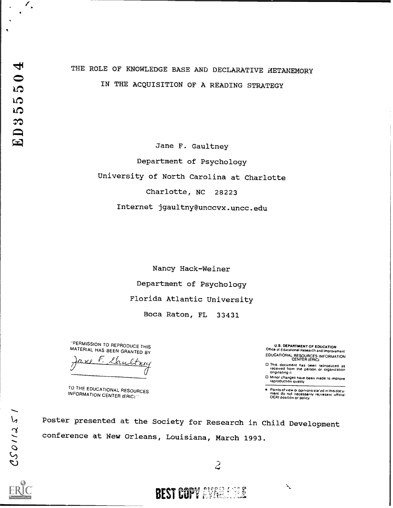$\mathscr{C}_{\bullet}$ 

 $\overline{\phantom{a}}$ 

# THE ROLE OF KNOWLEDGE BASE AND DECLARATIVE AETAMEMORY IN THE ACQUISITION OF A READING STRATEGY

Jane F. Gaultney Department of Psychology University of North Carolina at Charlotte Charlotte, NC 28223 Internet jgaultny@unccvx.uncc.edu

> Nancy Hack-Weiner Department of Psychology Florida Atlantic University Boca Raton, FL 33431

-PERMISSION TO REPRODUCE THIS MATERIAL HAS BEEN GRANTED BY

 $\overline{\mathbf{z}}$ 

TO THE EDUCATIONAL RESOURCES INFORMATION CENTER (ERIC) "

U.S. DEPARTMENT OF EDUCATION Office of Educational Research and Improvement EDUCATIONAL RESOURCES INFORMATION CENTER (ERIC)

E3 This document has been reproduced as received hewn the person or organization originating it

CD Minor changes have been made to improve reproduction Quality

Points of view or opinions stafed in this docu-<br>ment: do: not: necessarily: re<sub>t</sub>iresent: official<br>OERI positron or policy

 $\tilde{\phantom{a}}$ 

<sup>14</sup> Poster presented at the Society for Research in Child Development conference at New Orleans, Louisiana, March 1993.

**BEST COPY AVANCE FOR** 

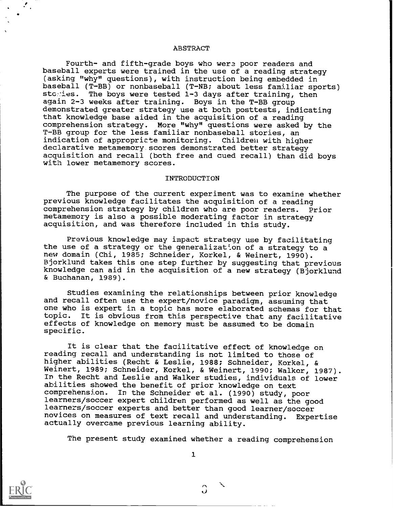#### ABSTRACT

Fourth- and fifth-grade boys who wera poor readers and baseball experts were trained in the use of a reading strategy (asking "why" questions), with instruction being embedded in baseball (T-BB) or nonbaseball (T-NB; about less familiar sports) stc.ies. The boys were tested 1-3 days after training, then again 2-3 weeks after training. Boys in the T-BB group demonstrated greater strategy use at both posttests, indicating that knowledge base aided in the acquisition of a reading comprehension strategy. More "why" questions were asked by the T-BB group for the less familiar nonbaseball stories, an indication of appropricte monitoring. Children with higher declarative metamemory.scores demonstrated better strategy acquisition and recall (both free and cued recall) than did boys with lower metamemory scores.

#### **INTRODUCTION**

The purpose of the current experiment was to examine whether previous knowledge facilitates the acquisition of a reading comprehension strategy by children who are poor readers. Prior metamemory is also a possible moderating factor in strategy acquisition, and was therefore included in this study.

Previous knowledge may impact strategy use by facilitating the use of a strategy or the generalization of a strategy to a new domain (Chi, 1985; Schneider, Korkel, & Weinert, 1990). Bjorklund takes this one step further by suggesting that previous knowledge can aid in the acquisition of a new strategy (Bjorklund & Buchanan, 1989).

Studies examining the relationships between prior knowledge and recall often use the expert/novice paradigm, assuming that one who is expert in a topic has more elaborated schemas for that topic. It is obvious from this perspective that any facilitative effects of knowledge on memory must be assumed to be domain specific.

It is clear that the facilitative effect of knowledge on reading recall and understanding is not limited to those of higher abilities (Recht & Leslie, 1988; Schneider, Korkel, & Weinert, 1989; Schneider, Korkel, & Weinert, 1990; Walker, 1987). In the Recht and Leslie and Walker studies, individuals of lower abilities showed the benefit of prior knowledge on text comprehension. In the Schneider et al. (1990) study, poor learners/soccer expert children performed as well as the good learners/soccer experts and better than good learner/soccer novices on measures of text recall and understanding. Expertise actually overcame previous learning ability.

The present study examined whether a reading comprehension

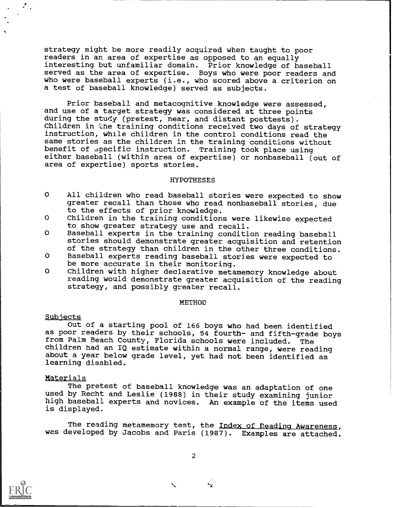strategy might be more readily acquired when taught to poor readers in an area of expertise as opposed to an equally interesting but unfamiliar domain. Prior knowledge of baseball served as the area of expertise. Boys who were poor readers and who were baseball experts (i.e., who scored above a criterion on a test of baseball knowledge) served as subjects.

Prior baseball and metacognitive knowledge were assessed, and use of a target strategy was considered at three points during the study (pretest, near, and distant posttests). Children in the training conditions received two days of strategy instruction, while children in the control conditions read the same stories as the children in the training conditions without benefit of specific instruction. Training took place using either baseball (within area of expertise) or nonbaseball (out of area of expertise) sports stories.

#### **HYPOTHESES**

- O All children who read baseball stories were expected to show greater recall than those who read nonbaseball stories, due to the effects of prior knowledge.
- O Children in the training conditions were likewise expected to show greater strategy use and recall.
- O Baseball experts in the training condition reading baseball stories should demonstrate greater acquisition and retention of the strategy than children in the other three conditions.
- O Baseball experts reading baseball stories were expected to be more accurate in their monitoring.
- O Children with higher declarative metamemory knowledge about reading would demonstrate greater acquisition of the reading strategy, and possibly greater recall.

#### METHOD

#### Subjects

 $\mathcal{L}_{\mathcal{A}}$ 

Out of a starting pool of 166 boys who had been identified as poor readers by their schools, 54 fourth- and fifth-grade boys from Palm Beach County, Florida schools were included. The children had an IQ estimate within a normal range, were reading about a year below grade level, yet had not been identified as learning disabled.

#### Materials

The pretest of baseball knowledge was an adaptation of one used by Recht and Leslie (1988) in their study examining junior high baseball experts and novices. An example of the items used is displayed.

The reading metamemory test, the Index of Reading Awareness, was developed by Jacobs and Paris (1987). Examples are attached.



 $\mathbf{r}$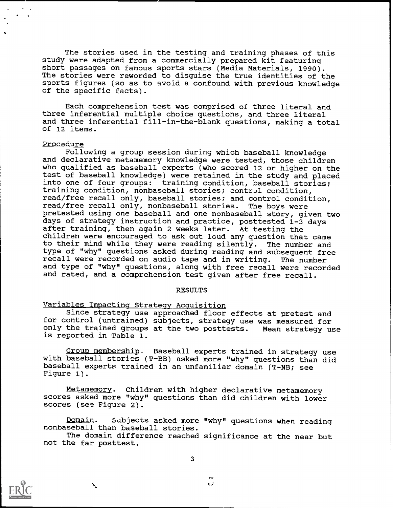The stories used in the testing and training phases of this study were adapted from a commercially prepared kit featuring short passages on famous sports stars (Media Materials, 1990). The stories were reworded to disguise the true identities of the sports figures (so as to avoid a confound with previous knowledge of the specific facts).

Each comprehension test was comprised of three literal and three inferential multiple choice questions, and three literal and three inferential fill-in-the-blank questions, making a total of 12 items.

#### Procedure

Following a group session during which baseball knowledge and declarative metamemory knowledge were tested, those children who qualified as baseball experts (who scored 12 or higher on the test of baseball knowledge) were retained in the study and placed into one of four groups: training condition, baseball stories; training condition, nonbaseball stories; control condition, read/free recall only, baseball stories; and control condition, read/free recall only, nonbaseball stories. The boys were pretested using one baseball and one nonbaseball story, given two days of strategy instruction and practice, posttested 1-3 days after training, then again 2 weeks later. At testing the children were encouraged to ask out loud any question that came to their mind while they were reading silently. The number and type of "why" questions asked during reading and subsequent free recall were recorded on audio tape and in writing. The number and type of "why" questions, along with free recall were recorded and rated, and a comprehension test given after free recall.

#### RESULTS

#### Variables Impacting Strategy Acquisition

Since strategy use approached floor effects at pretest and for control (untrained) subjects, strategy use was measured for only the trained groups at the two posttests. Mean strategy use is reported in Table 1.

Group membership, Baseball experts trained in strategy use with baseball stories (T-BB) asked more "why" questions than did baseball experts trained in an unfamiliar domain (T-NB; see Figure 1).

Metamemory. Children with higher declarative metamemory scores asked more "why" questions than did children with lower scores (see Figure 2).

Domain. Subjects asked more "why" questions when reading nonbaseball than baseball stories.

The domain difference reached significance at the near but not the far posttest.

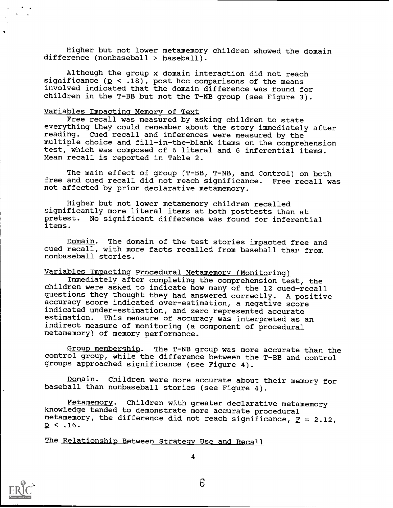Higher but not lower metamemory children showed the domain difference (nonbaseball > baseball).

Although the group x domain interaction did not reach significance  $(p \lt .18)$ , post hoc comparisons of the means involved indicated that the domain difference was found for children in the T-BB but not the T-NB group (see Figure 3).

#### Variables Impacting Memory of Text

Free recall was measured by asking children to state everything they could remember about the story immediately after reading. Cued recall and inferences were measured by the multiple choice and fill-in-the-blank items on the comprehension test, which was composed of 6 literal and 6 inferential items. Mean recall is reported in Table 2.

The main effect of group (T-BB, T-NB, and Control) on both free and cued recall did not reach significance. Free recall was not affected by prior declarative metamemory.

Higher but not lower metamemory children recalled :significantly more literal items at both posttests than at pretest. No significant difference was found for inferential items.

Domain. The domain of the test stories impacted free and cued recall, with more facts recalled from baseball than from nonbaseball stories.

#### Variables Impacting Procedural Metamemory (Monitoring)

Immediately after completing the comprehension test, the children were asked to indicate how many of the 12 cued-recall questions they thought they had answered correctly. A positive accuracy score indicated over-estimation, a negative score indicated under-estimation, and zero represented accurate<br>estimation. This measure of accuracy was interpreted as a This measure of accuracy was interpreted as an indirect measure of monitoring (a component of procedural metamemory) of memory performance.

Group membership. The T-NB group was more accurate than the control group, while the difference between the T-BB and control groups approached significance (see Figure 4).

Domain. Children were more accurate about their memory for baseball than nonbaseball stories (see Figure 4).

Metamemory. Children with greater declarative metamemory knowledge tended to demonstrate more accurate procedural metamemory, the difference did not reach significance,  $F = 2.12$ ,  $p < .16$ .

The Relationship Between Strategy Use and Recall

6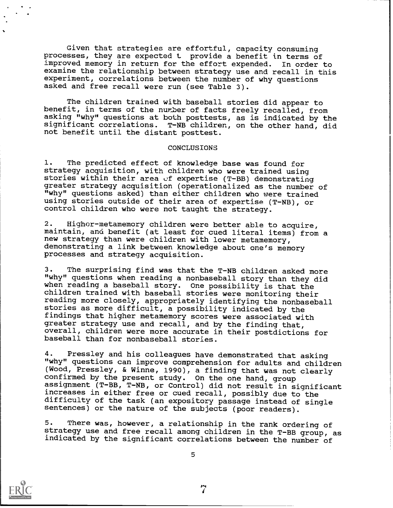Given that strategies are effortful, capacity consuming processes, they are expected t provide a benefit in terms of improved memory in return for the effort expended. In order to examine the relationship between strategy use and recall in this experiment, correlations between the number of why questions asked and free recall were run (see Table 3).

The children trained with baseball stories did appear to benefit, in terms of the number of facts freely recalled, from asking "why" questions at both posttests, as is indicated by the significant correlations. T-NB children, on the other hand, did not benefit until the distant posttest.

#### CONCLUSIONS

1. The predicted effect of knowledge base was found for strategy acquisition, with children who were trained using stories within their area of expertise (T-BB) demonstrating greater strategy acquisition (operationalized as the number of "why" questions asked) than either children who were trained using stories outside of their area of expertise (T-NB), or control children who were not taught the strategy.

2. Higher-metamemory children were better able to acquire. maintain, and benefit (at least for cued literal items) from a new strategy than were children with lower metamemory, demonstrating a link between knowledge about one's memory processes and strategy acquisition.

3. The surprising find was that the T-NB children asked more "why" questions when reading a nonbaseball story than they did when reading a baseball story. One possibility is that the children trained with baseball stories were monitoring their reading more closely, appropriately identifying the nonbaseball stories as more difficult, a possibility indicated by the findings that higher metamemory scores were associated with greater strategy use and recall, and by the finding that, overall, children were more accurate in their postdictions for baseball than for nonbaseball stories.

4. Pressley and his colleagues have demonstrated that asking "why" questions can improve comprehension for adults and children (Wood, Pressley, & Winne, 1990), a finding that was not clearly confirmed by the present study. On the one hand, group assignment (T-BB, T-NB, or Control) did not result in significant increases in either free or cued recall, possibly due to the difficulty of the task (an expository passage instead of single sentences) or the nature of the subjects (poor readers).

5. There was, however, a relationship in the rank ordering of<br>strategy use and free recall among children in the T-BB group, as indicated by the significant correlations between the number of



7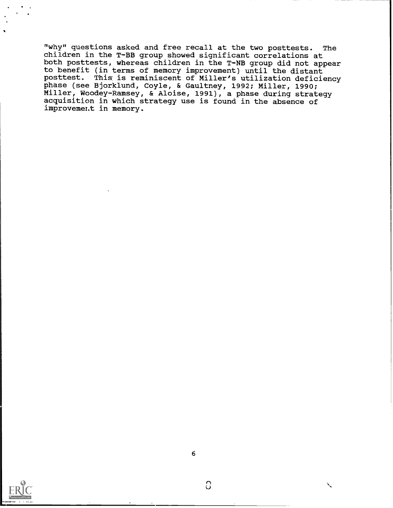"why" questions asked and free recall at the two posttests. The children in the T-BB group showed significant correlations at both posttests, whereas children in the T-NB group did not appear to benefit (in terms of memory improvement) until the distant posttest. This is reminiscent of Miller's utilization deficiency phase (see Bjorklund, Coyle, & Gaultney, 1992; Miller, 1990; Miller, Woodey-Ramsey, & Aloise, 1991), a phase during strategy acquisition in which strategy use is found in the absence of improvement in memory.



 $\Omega$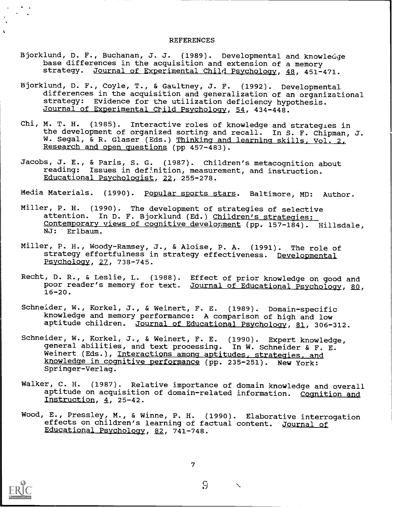#### REFERENCES

- Bjorklund, D. F., Buchanan, J. J. (1989). Developmental and knowledge base differences in the acquisition and extension of a memory strategy. Journal of Experimental Child Psychology, 48, 451-471.
- Bjorklund, D. F., Coyle, T., & Gaultney, J. F. (1992). Developmental differences in the acquisition and generalization of an organizational strategy: Evidence for the utilization deficiency hypothesis. Journal of Experimental Child Psychology, 54, 434-448.
- Chi, M. T. H. (1985). Interactive roles of knowledge and strategies in the development of organized sorting and recall. In S. F. Chipman, J. W. Segal, & R. Glaser (Eds.) Thinking and learning skills, Vol. 2. Research and open questions (pp 457-483).
- Jacobs, J. E., & Paris, S. G. (1987). Children's metacognition about reading: Issues in definition, measurement, and instruction. Educational Psychologist, 22, 255-278.

Media Materials. (1990). Popular sports stars. Baltimore, MD: Author.

- Miller, P. H. (1990). The development of strategies of selective attention. In D. F. Bjorklund (Ed.) Children's strategies: Contemporary views of cognitive development (pp. 157-184). Hillsdale, NJ: Erlbaum.
- Miller, P. H., Woody-Ramsey, J., & Aloise, P. A. (1991). The role of strategy effortfulness in strategy effectiveness. <u>Developmental</u> Psychology, 27, 738-745.
- Recht, D. R., & Leslie, L. (1988). Effect of prior knowledge on good and poor reader's memory for text. Journal of Educational Psychology, 80,  $16 - 20.$
- Schneider, W., Korkel, J., & Weinert, F. E. (1989). Domain-specific knowledge and memory performance: A comparison of high and low aptitude children. Journal of Educational Psychology, 81, 306-312.
- Schneider, W., Korkel, J., & Weinert, F. E. (1990). Expert knowledge, general abilities, and text processing. In W. Schneider & F. E. Weinert (Eds.), Interactions among aptitudes, strategies, and knowledge in cognitive performance (pp. 235-251). New York: Springer-Verlag.
- Walker, C. H. (1987). Relative importance of domain knowledge and overall aptitude on acquisition of domain-related information. Cognition and Instruction, 4, 25-42.
- Wood, E., Pressley, M., & Winne, P. H. (1990) . Elaborative interrogation effects on children's learning of factual content. Journal of Educational Psychology, 82, 741-748.



 $\mathbf{r}$ 

7

 $\mathcal{G}$ 

 $\boldsymbol{\checkmark}$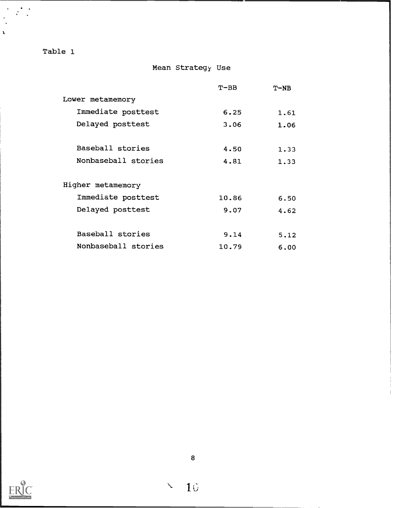| Full Text Provided by ERIC |
|----------------------------|

8

 $10$ 

 $\mathbf{X}$ 

| ć<br>r,<br>۰, |  |
|---------------|--|
|               |  |

|                     | $T-BB$ | $T-NB$ |  |
|---------------------|--------|--------|--|
| Lower metamemory    |        |        |  |
| Immediate posttest  | 6.25   | 1.61   |  |
| Delayed posttest    | 3.06   | 1.06   |  |
|                     |        |        |  |
| Baseball stories    | 4.50   | 1.33   |  |
| Nonbaseball stories | 4.81   | 1.33   |  |
|                     |        |        |  |
| Higher metamemory   |        |        |  |
| Immediate posttest  | 10.86  | 6.50   |  |
| Delayed posttest    | 9.07   | 4.62   |  |
|                     |        |        |  |
| Baseball stories    | 9.14   | 5.12   |  |
| Nonbaseball stories | 10.79  | 6.00   |  |
|                     |        |        |  |

Mean Strategy Use

# Table 1

 $\mathbf{r}$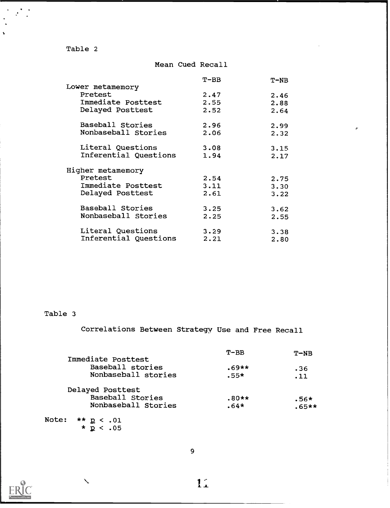Table 2

 $\frac{1}{2}$  ,  $\frac{1}{2}$ 

 $\ddot{\phantom{a}}$ 

### Mean Cued Recall

|                       | $T-BB$ | $T-NB$ |  |
|-----------------------|--------|--------|--|
| Lower metamemory      |        |        |  |
| Pretest               | 2.47   | 2.46   |  |
| Immediate Posttest    | 2.55   | 2.88   |  |
| Delayed Posttest      | 2.52   | 2.64   |  |
| Baseball Stories      | 2.96   | 2.99   |  |
| Nonbaseball Stories   | 2.06   | 2.32   |  |
| Literal Questions     | 3.08   | 3.15   |  |
| Inferential Questions | 1.94   | 2.17   |  |
| Higher metamemory     |        |        |  |
| Pretest               | 2.54   | 2.75   |  |
| Immediate Posttest    | 3.11   | 3.30   |  |
| Delayed Posttest      | 2.61   | 3.22   |  |
| Baseball Stories      | 3.25   | 3.62   |  |
| Nonbaseball Stories   | 2.25   | 2.55   |  |
| Literal Questions     | 3.29   | 3.38   |  |
| Inferential Questions | 2.21   | 2.80   |  |
|                       |        |        |  |

# Table 3

Correlations Between Strategy Use and Free Recall

|                              | $T - BB$ | $T-NB$  |  |
|------------------------------|----------|---------|--|
| Immediate Posttest           |          |         |  |
| Baseball stories             | $.69**$  | .36     |  |
| Nonbaseball stories          | $.55*$   | .11     |  |
| Delayed Posttest             |          |         |  |
| Baseball Stories             | $.80**$  | $.56*$  |  |
| Nonbaseball Stories          | $.64*$   | $.65**$ |  |
| <b>Note:</b><br>$** p < .01$ |          |         |  |

 $\star$   $p$  < .05

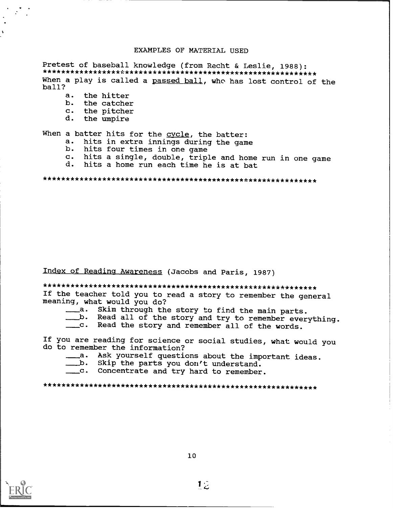#### EXAMPLES OF MATERIAL USED

Pretest of baseball knowledge (from Recht & Leslie, 1988): When a play is called a passed ball, who has lost control of the  $ball?$ 

- $a.$ the hitter
- b. the catcher
- $\mathbf{c}$ . the pitcher
- d. the umpire

When a batter hits for the cycle, the batter:

- a. hits in extra innings during the game
- b. hits four times in one game
- c. hits a single, double, triple and home run in one game
- hits a home run each time he is at bat d.

## Index of Reading Awareness (Jacobs and Paris, 1987)

If the teacher told you to read a story to remember the general meaning, what would you do?

- \_\_\_\_a. Skim through the story to find the main parts.
- \_b. Read all of the story and try to remember everything.
- \_\_\_C. Read the story and remember all of the words.

If you are reading for science or social studies, what would you do to remember the information?

- \_\_\_\_a. Ask yourself questions about the important ideas.
- b. Skip the parts you don't understand.
- \_\_c. Concentrate and try hard to remember.

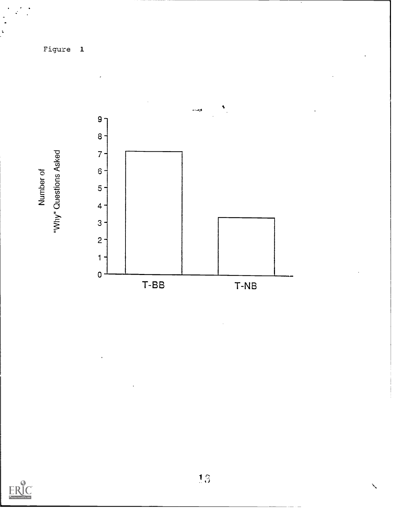Figure 1



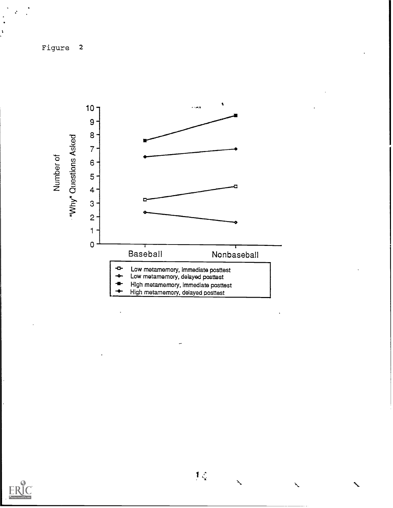Figure <sup>2</sup>





 $\lambda$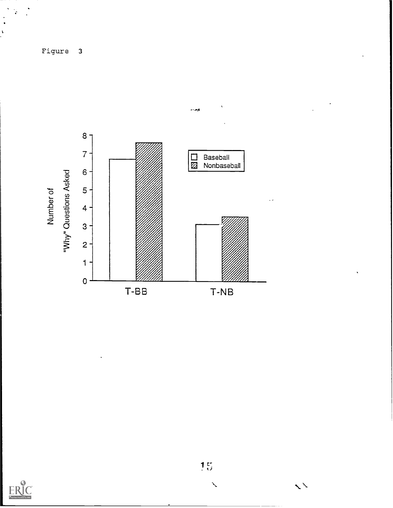





 $\mathbf{1}_{ij}^{\mathbf{r}}$ 

 $\mathbf{v}$